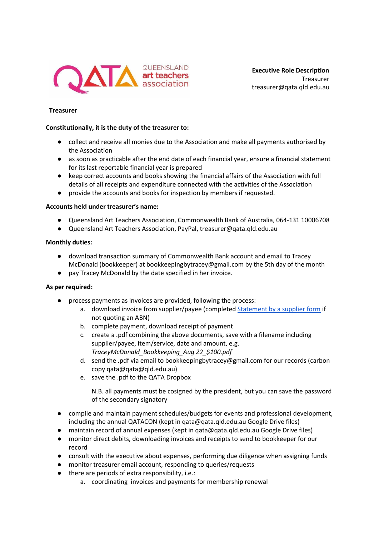

**Executive Role Description** Treasurer treasurer@qata.qld.edu.au

## **Treasurer**

#### **Constitutionally, it is the duty of the treasurer to:**

- collect and receive all monies due to the Association and make all payments authorised by the Association
- as soon as practicable after the end date of each financial year, ensure a financial statement for its last reportable financial year is prepared
- keep correct accounts and books showing the financial affairs of the Association with full details of all receipts and expenditure connected with the activities of the Association
- provide the accounts and books for inspection by members if requested.

### **Accounts held under treasurer's name:**

- Queensland Art Teachers Association, Commonwealth Bank of Australia, 064-131 10006708
- Queensland Art Teachers Association, PayPal, treasurer@qata.qld.edu.au

### **Monthly duties:**

- download transaction summary of Commonwealth Bank account and email to Tracey McDonald (bookkeeper) at bookkeepingbytracey@gmail.com by the 5th day of the month
- pay Tracey McDonald by the date specified in her invoice.

## **As per required:**

- process payments as invoices are provided, following the process:
	- a. download invoice from supplier/payee (completed [Statement by a supplier form](https://www.ato.gov.au/forms/statement-by-a-supplier-not-quoting-an-abn/) if not quoting an ABN)
	- b. complete payment, download receipt of payment
	- c. create a .pdf combining the above documents, save with a filename including supplier/payee, item/service, date and amount, e.g. *TraceyMcDonald\_Bookkeeping\_Aug 22\_\$100.pdf*
	- d. send the .pdf via email to bookkeepingbytracey@gmail.com for our records (carbon copy qata@qata@qld.edu.au)
	- e. save the .pdf to the QATA Dropbox

N.B. all payments must be cosigned by the president, but you can save the password of the secondary signatory

- compile and maintain payment schedules/budgets for events and professional development, including the annual QATACON (kept in qata@qata.qld.edu.au Google Drive files)
- maintain record of annual expenses (kept in qata@qata.qld.edu.au Google Drive files)
- monitor direct debits, downloading invoices and receipts to send to bookkeeper for our record
- consult with the executive about expenses, performing due diligence when assigning funds
- monitor treasurer email account, responding to queries/requests
- there are periods of extra responsibility, i.e.:
	- a. coordinating invoices and payments for membership renewal